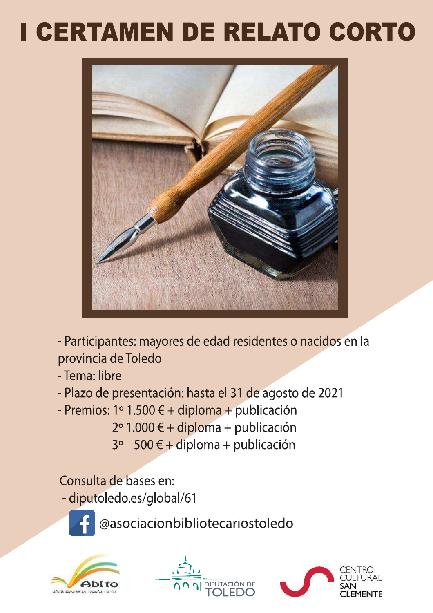# I CERTAMEN DE RELATO CORTO



- Participantes: mayores de edad residentes o nacidos en la provincia de Toledo

- Tema: libre
- Plazo de presentación: hasta el 31 de agosto de 2021
- Premios: 1º 1.500 € + diploma + publicación
	- $2° 1.000 \t\t\epsilon + diploma + publicación$
	- 500 € + diploma + publicación  $3<sup>o</sup>$

## Consulta de bases en:

- diputoledo.es/global/61



@asociacionbibliotecariostoledo





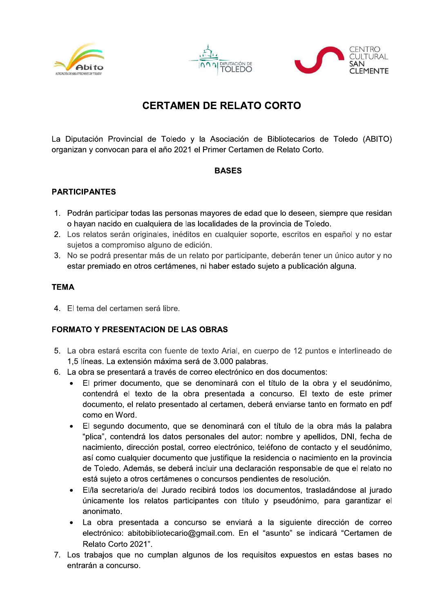





### **CERTAMEN DE RELATO CORTO**

La Diputación Provincial de Toledo y la Asociación de Bibliotecarios de Toledo (ABITO) organizan y convocan para el año 2021 el Primer Certamen de Relato Corto.

#### **BASES**

#### **PARTICIPANTES**

- 1. Podrán participar todas las personas mayores de edad que lo deseen, siempre que residan o hayan nacido en cualquiera de las localidades de la provincia de Toledo.
- 2. Los relatos serán originales, inéditos en cualquier soporte, escritos en español y no estar sujetos a compromiso alguno de edición.
- 3. No se podrá presentar más de un relato por participante, deberán tener un único autor y no estar premiado en otros certámenes, ni haber estado sujeto a publicación alguna.

#### **TEMA**

4. El tema del certamen será libre.

#### **FORMATO Y PRESENTACION DE LAS OBRAS**

- 5. La obra estará escrita con fuente de texto Arial, en cuerpo de 12 puntos e interlineado de 1,5 líneas. La extensión máxima será de 3.000 palabras.
- 6. La obra se presentará a través de correo electrónico en dos documentos:
	- El primer documento, que se denominará con el título de la obra y el seudónimo, contendrá el texto de la obra presentada a concurso. El texto de este primer documento, el relato presentado al certamen, deberá enviarse tanto en formato en pdf como en Word.
	- El segundo documento, que se denominará con el título de la obra más la palabra "plica", contendrá los datos personales del autor: nombre y apellidos, DNI, fecha de nacimiento, dirección postal, correo electrónico, teléfono de contacto y el seudónimo, así como cualquier documento que justifique la residencia o nacimiento en la provincia de Toledo. Además, se deberá incluir una declaración responsable de que el relato no está sujeto a otros certámenes o concursos pendientes de resolución.
	- El/la secretario/a del Jurado recibirá todos los documentos, trasladándose al jurado únicamente los relatos participantes con título y pseudónimo, para garantizar el anonimato.
	- La obra presentada a concurso se enviará a la siguiente dirección de correo electrónico: abitobibliotecario@gmail.com. En el "asunto" se indicará "Certamen de Relato Corto 2021".
- 7. Los trabajos que no cumplan algunos de los requisitos expuestos en estas bases no entrarán a concurso.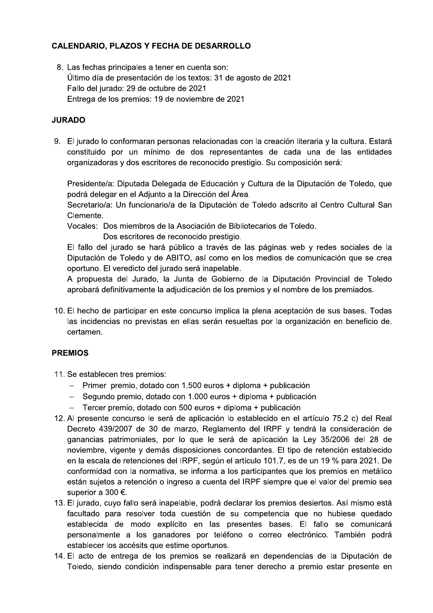#### **CALENDARIO, PLAZOS Y FECHA DE DESARROLLO**

8. Las fechas principales a tener en cuenta son: Último día de presentación de los textos: 31 de agosto de 2021 Fallo del jurado: 29 de octubre de 2021 Entrega de los premios: 19 de noviembre de 2021

#### **JURADO**

9. El jurado lo conformaran personas relacionadas con la creación literaria y la cultura. Estará constituido por un mínimo de dos representantes de cada una de las entidades organizadoras y dos escritores de reconocido prestigio. Su composición será:

Presidente/a: Diputada Delegada de Educación y Cultura de la Diputación de Toledo, que podrá delegar en el Adjunto a la Dirección del Área.

Secretario/a: Un funcionario/a de la Diputación de Toledo adscrito al Centro Cultural San Clemente.

Vocales: Dos miembros de la Asociación de Bibliotecarios de Toledo.

Dos escritores de reconocido prestigio.

El fallo del jurado se hará público a través de las páginas web y redes sociales de la Diputación de Toledo y de ABITO, así como en los medios de comunicación que se crea oportuno. El veredicto del jurado será inapelable.

A propuesta del Jurado, la Junta de Gobierno de la Diputación Provincial de Toledo aprobará definitivamente la adjudicación de los premios y el nombre de los premiados.

10. El hecho de participar en este concurso implica la plena aceptación de sus bases. Todas las incidencias no previstas en ellas serán resueltas por la organización en beneficio de. certamen.

#### **PREMIOS**

- 11. Se establecen tres premios:
	- Primer premio, dotado con 1.500 euros + diploma + publicación
	- Segundo premio, dotado con 1.000 euros + diploma + publicación
	- Tercer premio, dotado con 500 euros + diploma + publicación
- 12. Al presente concurso le será de aplicación lo establecido en el artículo 75.2 c) del Real Decreto 439/2007 de 30 de marzo, Reglamento del IRPF y tendrá la consideración de ganancias patrimoniales, por lo que le será de aplicación la Ley 35/2006 del 28 de noviembre, vigente y demás disposiciones concordantes. El tipo de retención establecido en la escala de retenciones del IRPF, según el artículo 101.7, es de un 19 % para 2021. De conformidad con la normativa, se informa a los participantes que los premios en metálico están sujetos a retención o ingreso a cuenta del IRPF siempre que el valor del premio sea superior a 300 €.
- 13. El jurado, cuyo fallo será inapelable, podrá declarar los premios desiertos. Así mismo está facultado para resolver toda cuestión de su competencia que no hubiese quedado establecida de modo explícito en las presentes bases. El fallo se comunicará personalmente a los ganadores por teléfono o correo electrónico. También podrá establecer los accésits que estime oportunos.
- 14. El acto de entrega de los premios se realizará en dependencias de la Diputación de Toledo, siendo condición indispensable para tener derecho a premio estar presente en